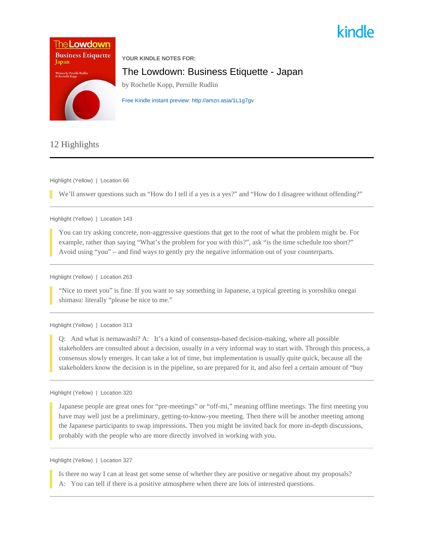



# 12 Highlights

Highlight (Yellow) | Location 66

We'll answer questions such as "How do I tell if a yes is a yes?" and "How do I disagree without offending?"

Highlight (Yellow) | Location 143

You can try asking concrete, non-aggressive questions that get to the root of what the problem might be. For example, rather than saying "What's the problem for you with this?", ask "is the time schedule too short?" Avoid using "you" – and find ways to gently pry the negative information out of your counterparts.

Highlight (Yellow) | Location 263

"Nice to meet you" is fine. If you want to say something in Japanese, a typical greeting is yoroshiku onegai shimasu: literally "please be nice to me."

Highlight (Yellow) | Location 313

Q: And what is nemawashi? A: It's a kind of consensus-based decision-making, where all possible stakeholders are consulted about a decision, usually in a very informal way to start with. Through this process, a consensus slowly emerges. It can take a lot of time, but implementation is usually quite quick, because all the stakeholders know the decision is in the pipeline, so are prepared for it, and also feel a certain amount of "buy

Highlight (Yellow) | Location 320

Japanese people are great ones for "pre-meetings" or "off-mi," meaning offline meetings. The first meeting you have may well just be a preliminary, getting-to-know-you meeting. Then there will be another meeting among the Japanese participants to swap impressions. Then you might be invited back for more in-depth discussions, probably with the people who are more directly involved in working with you.

Highlight (Yellow) | Location 327

Is there no way I can at least get some sense of whether they are positive or negative about my proposals? A: You can tell if there is a positive atmosphere when there are lots of interested questions.